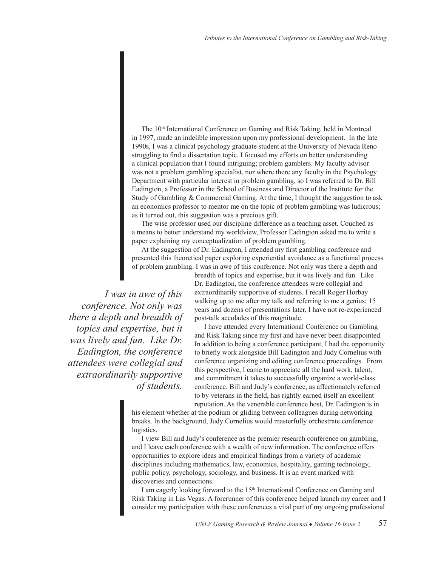The 10<sup>th</sup> International Conference on Gaming and Risk Taking, held in Montreal in 1997, made an indelible impression upon my professional development. In the late 1990s, I was a clinical psychology graduate student at the University of Nevada Reno struggling to find a dissertation topic. I focused my efforts on better understanding a clinical population that I found intriguing; problem gamblers. My faculty advisor was not a problem gambling specialist, nor where there any faculty in the Psychology Department with particular interest in problem gambling, so I was referred to Dr. Bill Eadington, a Professor in the School of Business and Director of the Institute for the Study of Gambling & Commercial Gaming. At the time, I thought the suggestion to ask an economics professor to mentor me on the topic of problem gambling was ludicrous; as it turned out, this suggestion was a precious gift.

The wise professor used our discipline difference as a teaching asset. Couched as a means to better understand my worldview, Professor Eadington asked me to write a paper explaining my conceptualization of problem gambling.

At the suggestion of Dr. Eadington, I attended my first gambling conference and presented this theoretical paper exploring experiential avoidance as a functional process of problem gambling. I was in awe of this conference. Not only was there a depth and

*I was in awe of this conference. Not only was there a depth and breadth of topics and expertise, but it was lively and fun. Like Dr. Eadington, the conference attendees were collegial and extraordinarily supportive of students.* 

breadth of topics and expertise, but it was lively and fun. Like Dr. Eadington, the conference attendees were collegial and extraordinarily supportive of students. I recall Roger Horbay walking up to me after my talk and referring to me a genius; 15 years and dozens of presentations later, I have not re-experienced post-talk accolades of this magnitude.

I have attended every International Conference on Gambling and Risk Taking since my first and have never been disappointed. In addition to being a conference participant, I had the opportunity to briefly work alongside Bill Eadington and Judy Cornelius with conference organizing and editing conference proceedings. From this perspective, I came to appreciate all the hard work, talent, and commitment it takes to successfully organize a world-class conference. Bill and Judy's conference, as affectionately referred to by veterans in the field, has rightly earned itself an excellent reputation. As the venerable conference host, Dr. Eadington is in

his element whether at the podium or gliding between colleagues during networking breaks. In the background, Judy Cornelius would masterfully orchestrate conference logistics.

I view Bill and Judy's conference as the premier research conference on gambling, and I leave each conference with a wealth of new information. The conference offers opportunities to explore ideas and empirical findings from a variety of academic disciplines including mathematics, law, economics, hospitality, gaming technology, public policy, psychology, sociology, and business. It is an event marked with discoveries and connections.

I am eagerly looking forward to the 15<sup>th</sup> International Conference on Gaming and Risk Taking in Las Vegas. A forerunner of this conference helped launch my career and I consider my participation with these conferences a vital part of my ongoing professional